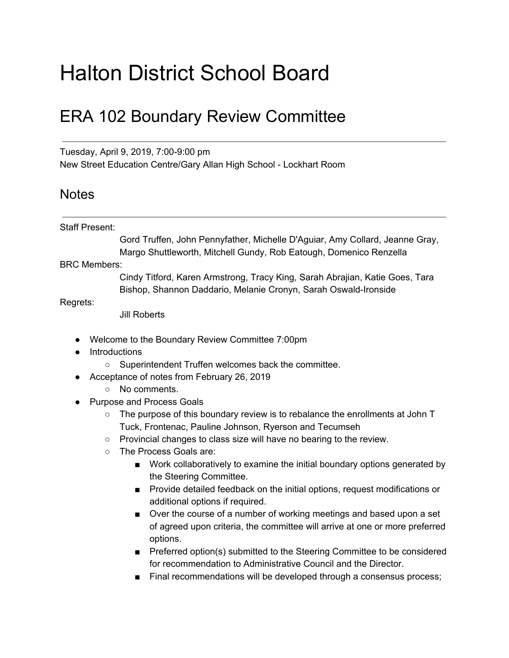## Halton District School Board

## ERA 102 Boundary Review Committee

Tuesday, April 9, 2019, 7:00-9:00 pm New Street Education Centre/Gary Allan High School - Lockhart Room

## **Notes**

## Staff Present:

Gord Truffen, John Pennyfather, Michelle D'Aguiar, Amy Collard, Jeanne Gray, Margo Shuttleworth, Mitchell Gundy, Rob Eatough, Domenico Renzella

BRC Members:

Cindy Titford, Karen Armstrong, Tracy King, Sarah Abrajian, Katie Goes, Tara Bishop, Shannon Daddario, Melanie Cronyn, Sarah Oswald-Ironside

Regrets:

Jill Roberts

- Welcome to the Boundary Review Committee 7:00pm
- Introductions
	- Superintendent Truffen welcomes back the committee.
- Acceptance of notes from February 26, 2019
	- No comments.
- Purpose and Process Goals
	- $\circ$  The purpose of this boundary review is to rebalance the enrollments at John T Tuck, Frontenac, Pauline Johnson, Ryerson and Tecumseh
	- Provincial changes to class size will have no bearing to the review.
	- The Process Goals are:
		- Work collaboratively to examine the initial boundary options generated by the Steering Committee.
		- Provide detailed feedback on the initial options, request modifications or additional options if required.
		- Over the course of a number of working meetings and based upon a set of agreed upon criteria, the committee will arrive at one or more preferred options.
		- Preferred option(s) submitted to the Steering Committee to be considered for recommendation to Administrative Council and the Director.
		- Final recommendations will be developed through a consensus process;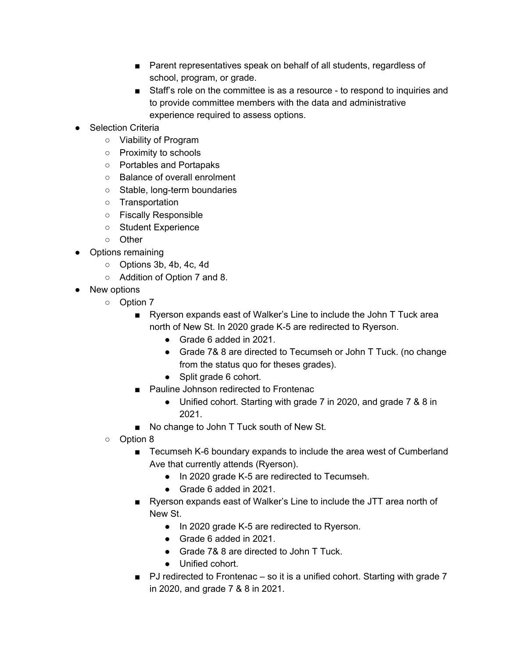- Parent representatives speak on behalf of all students, regardless of school, program, or grade.
- Staff's role on the committee is as a resource to respond to inquiries and to provide committee members with the data and administrative experience required to assess options.
- Selection Criteria
	- Viability of Program
	- Proximity to schools
	- Portables and Portapaks
	- Balance of overall enrolment
	- Stable, long-term boundaries
	- Transportation
	- Fiscally Responsible
	- Student Experience
	- Other
- Options remaining
	- Options 3b, 4b, 4c, 4d
	- Addition of Option 7 and 8.
- New options
	- Option 7
		- Ryerson expands east of Walker's Line to include the John T Tuck area north of New St. In 2020 grade K-5 are redirected to Ryerson.
			- Grade 6 added in 2021.
			- Grade 7& 8 are directed to Tecumseh or John T Tuck. (no change from the status quo for theses grades).
			- Split grade 6 cohort.
		- Pauline Johnson redirected to Frontenac
			- Unified cohort. Starting with grade 7 in 2020, and grade 7 & 8 in 2021.
		- No change to John T Tuck south of New St.
	- Option 8
		- Tecumseh K-6 boundary expands to include the area west of Cumberland Ave that currently attends (Ryerson).
			- In 2020 grade K-5 are redirected to Tecumseh.
			- Grade 6 added in 2021.
		- Ryerson expands east of Walker's Line to include the JTT area north of New St.
			- In 2020 grade K-5 are redirected to Ryerson.
			- Grade 6 added in 2021.
			- Grade 7& 8 are directed to John T Tuck.
			- Unified cohort.
		- PJ redirected to Frontenac so it is a unified cohort. Starting with grade 7 in 2020, and grade 7 & 8 in 2021.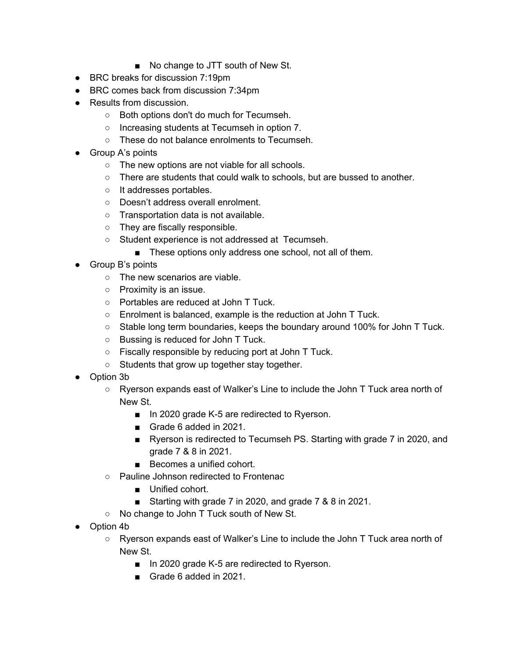- No change to JTT south of New St.
- BRC breaks for discussion 7:19pm
- BRC comes back from discussion 7:34pm
- Results from discussion.
	- Both options don't do much for Tecumseh.
	- Increasing students at Tecumseh in option 7.
	- These do not balance enrolments to Tecumseh.
- Group A's points
	- The new options are not viable for all schools.
	- There are students that could walk to schools, but are bussed to another.
	- It addresses portables.
	- Doesn't address overall enrolment.
	- Transportation data is not available.
	- They are fiscally responsible.
	- Student experience is not addressed at Tecumseh.
		- These options only address one school, not all of them.
- Group B's points
	- The new scenarios are viable.
	- Proximity is an issue.
	- Portables are reduced at John T Tuck.
	- Enrolment is balanced, example is the reduction at John T Tuck.
	- Stable long term boundaries, keeps the boundary around 100% for John T Tuck.
	- Bussing is reduced for John T Tuck.
	- Fiscally responsible by reducing port at John T Tuck.
	- Students that grow up together stay together.
- Option 3b
	- Ryerson expands east of Walker's Line to include the John T Tuck area north of New St.
		- In 2020 grade K-5 are redirected to Ryerson.
		- Grade 6 added in 2021.
		- Ryerson is redirected to Tecumseh PS. Starting with grade 7 in 2020, and grade 7 & 8 in 2021.
		- Becomes a unified cohort.
	- Pauline Johnson redirected to Frontenac
		- Unified cohort.
		- Starting with grade 7 in 2020, and grade 7 & 8 in 2021.
	- No change to John T Tuck south of New St.
- Option 4b
	- Ryerson expands east of Walker's Line to include the John T Tuck area north of New St.
		- In 2020 grade K-5 are redirected to Ryerson.
		- Grade 6 added in 2021.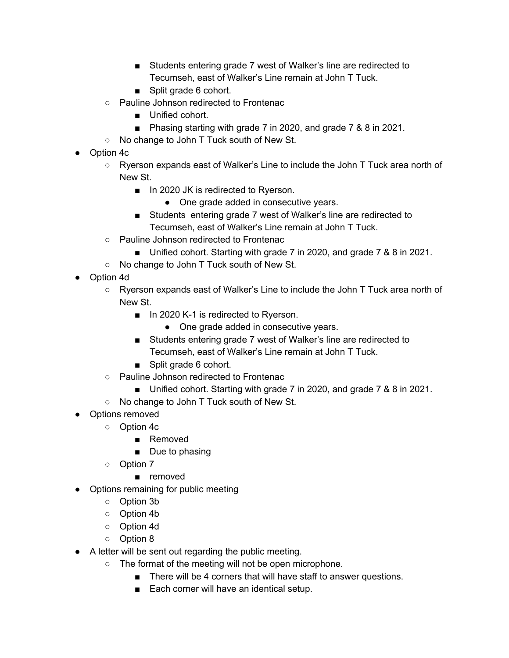- Students entering grade 7 west of Walker's line are redirected to Tecumseh, east of Walker's Line remain at John T Tuck.
- Split grade 6 cohort.
- Pauline Johnson redirected to Frontenac
	- Unified cohort.
	- Phasing starting with grade 7 in 2020, and grade 7 & 8 in 2021.
- No change to John T Tuck south of New St.
- Option 4c
	- Ryerson expands east of Walker's Line to include the John T Tuck area north of New St.
		- In 2020 JK is redirected to Ryerson.
			- One grade added in consecutive years.
		- Students entering grade 7 west of Walker's line are redirected to Tecumseh, east of Walker's Line remain at John T Tuck.
	- Pauline Johnson redirected to Frontenac
		- Unified cohort. Starting with grade 7 in 2020, and grade 7 & 8 in 2021.
	- No change to John T Tuck south of New St.
- Option 4d
	- Ryerson expands east of Walker's Line to include the John T Tuck area north of New St.
		- In 2020 K-1 is redirected to Ryerson.
			- One grade added in consecutive years.
		- Students entering grade 7 west of Walker's line are redirected to Tecumseh, east of Walker's Line remain at John T Tuck.
		- Split grade 6 cohort.
	- Pauline Johnson redirected to Frontenac
		- Unified cohort. Starting with grade 7 in 2020, and grade 7 & 8 in 2021.
	- No change to John T Tuck south of New St.
- Options removed
	- Option 4c
		- Removed
		- Due to phasing
	- Option 7
		- removed
- Options remaining for public meeting
	- Option 3b
	- Option 4b
	- Option 4d
	- Option 8
- A letter will be sent out regarding the public meeting.
	- The format of the meeting will not be open microphone.
		- There will be 4 corners that will have staff to answer questions.
		- Each corner will have an identical setup.